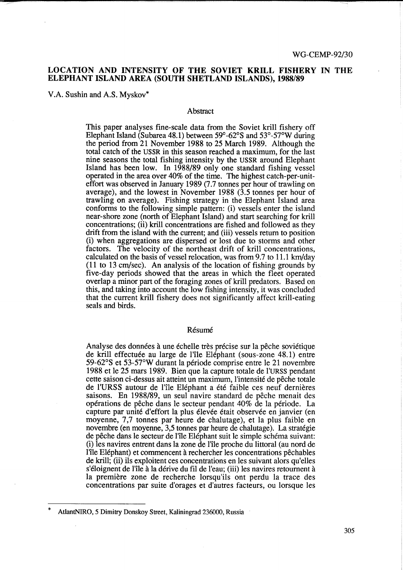# LOCATION AND INTENSITY OF THE SOVIET KRILL FISHERY IN THE ELEPHANT ISLAND AREA (SOUTH SHETLAND ISLANDS), 1988/89

V.A. Sushin and A.S. Myskov\*

## **Abstract**

This paper analyses fine-scale data from the Soviet krill fishery off Elephant Island (Subarea 48.1) between 59°-62°S and 53°-57°W during the period from 21 November 1988 to 25 March 1989. Although the total catch of the USSR in this season reached a maximum, for the last nine seasons the total fishing intensity by the USSR around Elephant Island has been low. In 1988/89 only one standard fishing vessel operated in the area over 40% of the time. The highest catch-per-uniteffort was observed in January 1989 (7.7 tonnes per hour of trawling on average), and the lowest in November 1988 (3.5 tonnes per hour of trawling on average). Fishing strategy in the Elephant Island area conforms to the following simple pattern: (i) vessels enter the island near-shore zone (north of Elephant Island) and start searching for krill concentrations; (ii) krill concentrations are fished and followed as they drift from the island with the current; and (iii) vessels return to position (i) when aggregations are dispersed or lost due to storms and other factors. The velocity of the northeast drift of krill concentrations, calculated on the basis of vessel relocation, was from 9.7 to 11.1 km/day (11 to 13 cm/sec). An analysis of the location of fishing grounds by five-day periods showed that the areas in which the fleet operated overlap a minor part of the foraging zones of krill predators. Based on this, and taking into account the low fishing intensity, it was concluded that the current krill fishery does not significantly affect krill-eating seals and birds.

## Résumé

Analyse des données à une échelle très précise sur la pêche soviétique de krill effectuée au large de l'île Eléphant (sous-zone 48.1) entre 59-62°S et 53-57°W durant la periode comprise entre le 21 novembre 1988 et le 25 mars 1989. Bien que la capture totale de l'URSS pendant cette saison ci-dessus ait atteint un maximum, l'intensite de peche totale de l'URSS autour de 1'1le Elephant a ete faible ces neuf dernieres saisons. En 1988/89, un seul navire standard de pêche menait des operations de peche dans le secteur pendant 40% de la periode. La capture par unité d'effort la plus élevée était observée en janvier (en moyenne, 7,7 tonnes par heure de chalutage), et la plus faible en novembre (en moyenne, 3,5 tonnes par heure de chalutage). La stratégie de pêche dans le secteur de l'île Eléphant suit le simple schéma suivant: (i) les navires entrent dans la zone de l'ile proche du littoral (au nord de 1'1le Elephant) et commencent a rechercher les concentrations pechables de krill; (ii) ils exploitent ces concentrations en les suivant alors qu'elles s'éloignent de l'île à la dérive du fil de l'eau; (iii) les navires retournent à la première zone de recherche lorsqu'ils ont perdu la trace des concentrations par suite d'orages et d'autres facteurs, ou lorsque les

AtlantNIRO, 5 Dimitry Donskoy Street, Kaliningrad 236000, Russia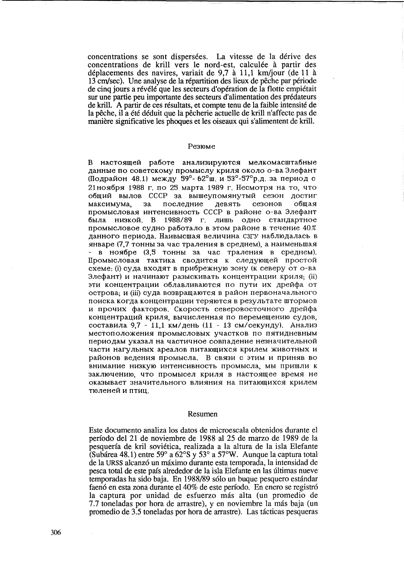concentrations se sont dispersées. La vitesse de la dérive des concentrations de krill vers le nord-est, calculée à partir des déplacements des navires, variait de 9,7 à 11,1 km/jour (de 11 à 13 cm/sec). Une analyse de la répartition des lieux de pêche par période de cinq jours a révélé que les secteurs d'opération de la flotte empiétait sur une partie peu importante des secteurs d'alimentation des prédateurs de krill. A partir de ces résultats, et compte tenu de la faible intensité de la pêche, il a été déduit que la pêcherie actuelle de krill n'affecte pas de manière significative les phoques et les oiseaux qui s'alimentent de krill.

#### Резюме

В настоящей работе анализируются мелкомасштабные данные по советскому промыслу криля около о-ва Элефант (Подрайон 48.1) между 59°-62°ш. и 53°-57°р.д. за период с 21 ноября 1988 г. по 25 марта 1989 г. Несмотря на то, что общий вылов СССР за вышеупомянутый сезон достиг максимума. за последние девять сезонов обшая промысловая интенсивность СССР в районе о-ва Элефант была низкой. В 1988/89 г. лишь одно стандартное промысловое судно работало в этом районе в течение 40% данного периода. Наивысшая величина СЗГУ наблюдалась в январе (7,7 тонны за час траления в среднем), а наименьшая - в ноябре (3,5 тонны за час траления в среднем). Промысловая тактика сводится к следующей простой схеме: (i) суда входят в прибрежную зону (к северу от о-ва Элефант) и начинают разыскивать концентрации криля; (ii) эти концентрации облавливаются по пути их дрейфа от острова; и (iii) суда возвращаются в район первоначального поиска когда концентрации теряются в результате штормов и прочих факторов. Скорость северовосточного дрейфа концентраций криля, вычисленная по перемещению судов. составила 9,7 - 11,1 км/день (11 - 13 см/секунду). Анализ местоположения промысловых участков по пятидневным периодам указал на частичное совпадение незначительной части нагульных ареалов питающихся крилем животных и районов ведения промысла. В связи с этим и приняв во внимание низкую интенсивность промысла, мы пришли к заключению, что промысел криля в настоящее время не оказывает значительного влияния на питающихся крилем тюленей и птиц.

#### Resumen

Este documento analiza los datos de microescala obtenidos durante el período del 21 de noviembre de 1988 al 25 de marzo de 1989 de la pesquería de kril soviética, realizada a la altura de la isla Elefante (Subárea 48.1) entre 59° a 62° Sy 53° a 57° W. Aunque la captura total de la URSS alcanzó un máximo durante esta temporada, la intensidad de pesca total de este país alrededor de la isla Elefante en las últimas nueve temporadas ha sido baja. En 1988/89 sólo un buque pesquero estándar faenó en esta zona durante el 40% de este período. En enero se registró la captura por unidad de esfuerzo más alta (un promedio de 7.7 toneladas por hora de arrastre), y en noviembre la más baja (un promedio de 3.5 toneladas por hora de arrastre). Las tácticas pesqueras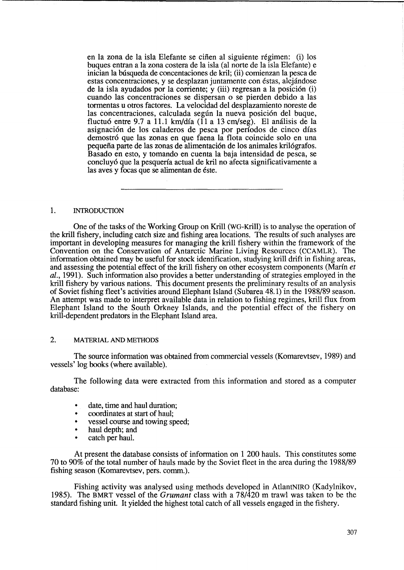en la zona de la isla Elefante se cifien al siguiente regimen: (i) los buques entran a la zona costera de la isla (al norte de la isla Elefante) e inician la busqueda de concentaciones de kril; (ii) cornienzan la pesca de estas concentraciones, y se desplazan juntamente con estas, alejandose de la isla ayudados por la corriente; y  $(iii)$  regresan a la posición  $(i)$ cuando las concentraciones se dispersan 0 se pierden debido alas tormentas u otros factores. La velocidad del desplazamiento noreste de las concentraciones, calculada según la nueva posición del buque, fluctuó entre 9.7 a 11.1 km/día (11 a 13 cm/seg). El análisis de la asignación de los caladeros de pesca por períodos de cinco días demostr6 que las zonas en que faena la flota coincide solo en una pequefia parte de las zonas de alimentaci6n de los animales kri16grafos. Basado en esto, y tomando en cuenta la baja intensidad de pesca, se concluy6 que la pesqueria actual de kril no afecta significativamente a las aves y focas que se alimentan de éste.

#### 1. IN1RODUCTION

One of the tasks of the Working Group on Krill (WG-Krill) is to analyse the operation of the krill fishery, including catch size and fishing area locations. The results of such analyses are important in developing measures for managing the krill fishery within the framework of the Convention on the Conservation of Antarctic Marine Living Resources (CCAMLR). The information obtained may be useful for stock identification, studying kriU drift in fishing areas, and assessing the potential effect of the kriU fishery on other ecosystem components (Marin *et*  al., 1991). Such information also provides a better understanding of strategies employed in the krill fishery by various nations. This document presents the preliminary results of an analysis of Soviet fishing fleet's activities around Elephant Island (Subarea 48.1) in the 1988/89 season. An attempt was made to interpret available data in relation to fishing regimes, kriU flux from Elephant Island to the South Orkney Islands, and the potential effect of the fishery on krill-dependent predators in the Elephant Island area.

# 2. MATERIAL AND METHODS

The source information was obtained from commercial vessels (Komarevtsev, 1989) and vessels' log books (where available).

The following data were extracted from this information and stored as a computer database:

- date, time and haul duration;
- coordinates at start of haul;
- vessel course and towing speed;
- haul depth; and
- catch per haul.

At present the database consists of information on 1 200 hauls. This constitutes some 70 to 90% of the total number of hauls made by the Soviet fleet in the area during the 1988/89 fishing season (Komarevtsev, pers. comm.).

Fishing activity was analysed using methods developed in AtlantNIRO (Kadylnikov, 1985). The BMRT vessel of the *Grumant* class with a 78/420 m trawl was taken to be the standard fishing unit. It yielded the highest total catch of all vessels engaged in the fishery.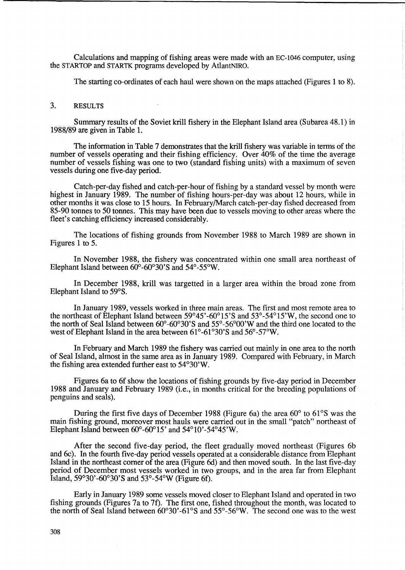Calculations and mapping of fishing areas were made with an EC-I046 computer, using the STARTOP and STARTK programs developed by AtlantNIRO.

The starting co-ordinates of each haul were shown on the maps attached (Figures 1 to 8).

## 3. RESULTS

Summary results of the Soviet krill fishery in the Elephant Island area (Subarea 48.1) in 1988/89 are given in Table 1.

The information in Table 7 demonstrates that the krill fishery was variable in terms of the number of vessels operating and their fishing efficiency. Over 40% of the time the average number of vessels fishing was one to two (standard fishing units) with a maximum of seven vessels during one five-day period.

Catch-per-day fished and catch-per-hour of fishing by a standard vessel by month were highest in January 1989. The number of fishing hours-per-day was about 12 hours, while in other months it was close to 15 hours. In February/March catch-per-day fished decreased from 85-90 tonnes to 50 tonnes. This may have been due to vessels moving to other areas where the fleet's catching efficiency increased considerably.

The locations of fishing grounds from November 1988 to March 1989 are shown in Figures 1 to 5.

In November 1988, the fishery was concentrated within one small area northeast of Elephant Island between  $60^{\circ}$ - $60^{\circ}30^{\circ}$ S and  $54^{\circ}$ - $55^{\circ}$ W.

In December 1988, krill was targetted in a larger area within the broad zone from Elephant Island to 59°S.

In January 1989, vessels worked in three main areas. The first and most remote area to the northeast of Elephant Island between  $59^{\circ}45'$ -60 $^{\circ}15'$ S and  $53^{\circ}$ -54 $^{\circ}15'$ W, the second one to the north of Seal Island between  $60^{\circ}$ - $60^{\circ}30^{\circ}$ S and  $55^{\circ}$ - $56^{\circ}00^{\circ}$ W and the third one located to the west of Elephant Island in the area between  $61^{\circ}$ -61°30'S and  $56^{\circ}$ -57°W.

In February and March 1989 the fishery was carried out mainly in one area to the north of Seal Island, almost in the same area as in January 1989. Compared with February, in March the fishing area extended further east to 54°30'W.

Figures 6a to 6f show the locations of fishing grounds by five-day period in December 1988 and January and February 1989 (i.e., in months critical for the breeding populations of penguins and seals).

During the first five days of December 1988 (Figure 6a) the area 60° to 61°S was the main fishing ground, moreover most hauls were carried out in the small "patch" northeast of Elephant Island between 60°-60°15' and 54°1O'-54°45'W.

After the second five-day period, the fleet gradually moved northeast (Figures 6b and 6c). In the fourth five-day period vessels operated at a considerable distance from Elephant Island in the northeast corner of the area (Figure 6d) and then moved south. In the last five-day period of December most vessels worked in two groups, and in the area far from Elephant Island,  $59^{\circ}30'$ -60°30'S and  $53^{\circ}$ -54°W (Figure 6f).

Early in January 1989 some vessels moved closer to Elephant Island and operated in two fishing grounds (Figures 7a to 7f). The first one, fished throughout the month, was located to the north of Seal Island between  $60^{\circ}30'$ -61 $^{\circ}$ S and 55 $^{\circ}$ -56 $^{\circ}$ W. The second one was to the west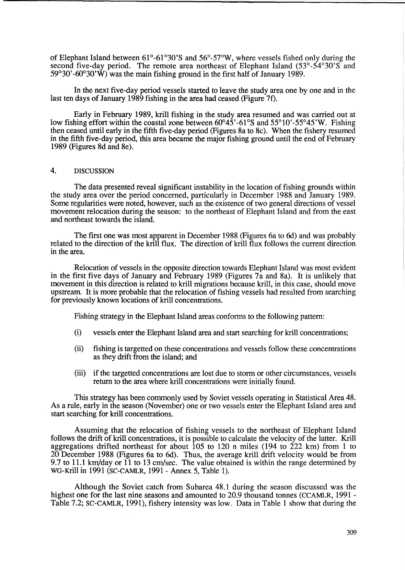of Elephant Island between  $61^{\circ}$ -61 $^{\circ}30$ 'S and  $56^{\circ}$ -57 $^{\circ}$ W, where vessels fished only during the second five-day period. The remote area northeast of Elephant Island (53°-54°30'S and  $59^{\circ}30'$ -60°30'W) was the main fishing ground in the first half of January 1989.

In the next five-day period vessels started to leave the study area one by one and in the last ten days of January 1989 fishing in the area had ceased (Figure 7f).

Early in February 1989, kriU fishing in the study area resumed and was carried out at low fishing effort within the coastal zone between  $60^{\circ}45'$ -61°S and  $55^{\circ}10'$ -55°45'W. Fishing then ceased until early in the fifth five-day period (Figures 8a to 8c). When the fishery resumed in the fifth five-day period, this area became the major fishing ground until the end of February 1989 (Figures 8d and 8e).

## 4. DISCUSSION

The data presented reveal significant instability in the location of fishing grounds within the study area over the period concerned, particularly in December 1988 and January 1989. Some regularities were noted, however, such as the existence of two general directions of vessel movement relocation during the season: to the northeast of Elephant Island and from the east and northeast towards the island.

The first one was most apparent in December 1988 (Figures 6a to 6d) and was probably related to the direction of the kriU flux. The direction of krill flux follows the current direction in the area.

Relocation of vessels in the opposite direction towards Elephant Island was most evident in the first five days of January and February 1989 (Figures 7a and 8a). It is unlikely that movement in this direction is related to krill migrations because krill, in this case, should move upstream. It is more probable that the relocation of fishing vessels had resulted from searching for previously known locations of krill concentrations.

Fishing strategy in the Elephant Island areas conforms to the following pattern:

- (i) vessels enter the Elephant Island area andstart searching for krill concentrations;
- (ii) fishing is targetted on these concentrations and vessels follow these concentrations as they drift from the island; and
- (iii) if the targetted concentrations are lost due to storm or other circumstances, vessels return to the area where krill concentrations were initially found.

This strategy has been commonly used by Soviet vessels operating in Statistical Area 48. As a rule, early in the season (November) one or two vessels enter the Elephant Island area and start searching for krill concentrations.

Assuming that the relocation of fishing vessels to the northeast of Elephant Island follows the drift of krill concentrations, it is possible to calculate the velocity of the latter. Krill aggregations drifted northeast for about 105 to 120 n miles (194 to 222 km) from 1 to 20 December 1988 (Figures 6a to 6d). Thus, the average krill drift velocity would be from 9.7 to 11.1 km/day or 11 to 13 cm/sec. The value obtained is within the range determined by WG-Krill in 1991 (SC-CAMLR, 1991- Annex 5, Table 1).

Although the Soviet catch from Subarea 48.1 during the season discussed was the highest one for the last nine seasons and amounted to 20.9 thousand tonnes (CCAMLR, 1991 - Table 7.2; SC-CAMLR, 1991), fishery intensity was low. Data in Table 1 show that during the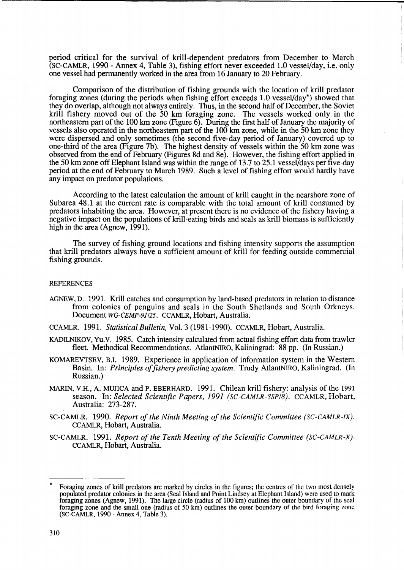period critical for the survival of kriU-dependent predators from December to March (SC-CAMLR, 1990 - Annex 4, Table 3), fishing effort never exceeded 1.0 vessel/day, i.e. only one vessel had permanently worked in the area from 16 January to 20 February.

Comparison of the distribution of fishing grounds with the location of krill predator foraging zones (during the periods when fishing effort exceeds 1.0 vessel/day\*) showed that they do overlap, although not always entirely. Thus, in the second half of December, the Soviet krill fishery moved out of the 50 km foraging zone. The vessels worked only in the northeastern part of the 100 km zone (Figure 6). During the first half of January the majority of vessels also operated in the northeastern part of the 100 km zone, while in the 50 km zone they were dispersed and only sometimes (the second five-day period of January) covered up to one-third of the area (Figure 7b). The highest density of vessels within the 50 km zone was observed from the end of February (Figures 8d and 8e). However, the fishing effort applied in the 50 km zone off Elephant Island was within the range of 13.7 to 25.1 vessel/days per five-day period at the end of February to March 1989. Such a level of fishing effort would hardly have any impact on predator populations.

According to the latest calculation the amount of kriU caught in the nearshore zone of Subarea 48.1 at the current rate is comparable with the total amount of kriU consumed by predators inhabiting the area. However, at present there is no evidence of the fishery having a negative impact on the populations of krill-eating birds and seals as kriU biomass is sufficiently high in the area (Agnew, 1991).

The survey of fishing ground locations and fishing intensity supports the assumption that krill predators always have a sufficient amount of kriU for feeding outside commercial fishing grounds.

#### **REFERENCES**

AGNEW, D. 1991. Krill catches and consumption by land-based predators in relation to distance from colonies of penguins and seals in the South Shetlands and South Orkneys. Document *WG-CEMP-91/25.* CCAMLR, Hobart, Australia.

CCAMLR. 1991. *Statistical Bulletin,* Vol. 3 (1981-1990). CCAMLR, Hobart, Australia.

- KADILNIKOV, Yu.V. 1985. Catch intensity calculated from actual fishing effort data from trawler fleet. Methodical Recommendations. AtlantNIRO, Kaliningrad: 88 pp. (In Russian.)
- KOMAREVTSEV, B.I. 1989. Experience in application of information system in the Western Basin. In: *Principles of fishery predicting system*. Trudy AtlantNIRO, Kaliningrad. (In Russian.)
- MARIN, V.H., A. MUJICA and P. EBERHARD. 1991. Chilean krill fishery: analysis of the 1991 season. In: *Selected Scientific Papers,* 1991 *(SC-CAMLR-SSP/S).* CCAMLR, Hobart, Australia: 273-287.
- SC-CAMLR. 1990. *Report of the Ninth Meeting of the Scientific Committee (SC-CAMLR-IX).*  CCAMLR, Hobart, Australia.
- SC-CAMLR. 1991. *Report of the Tenth Meeting of the Scientific Committee (SC-CAMLR-X).*  CCAMLR, Hobart, Australia.

<sup>\*</sup> Foraging zones of krill predators are marked by circles in the figures; the centres of the two most densely populated predator colonies in the area (Seal Island and Point Lindsey at Elephant Island) were used to mark foraging zones (Agnew, 1991). The large circle (radius of 100 km) outlines the outer boundary of the seal foraging zone and the small one (radius of 50 km) outlines the outer boundary of the bird foraging zone (SC-CAMLR, 1990 - Annex 4, Table 3).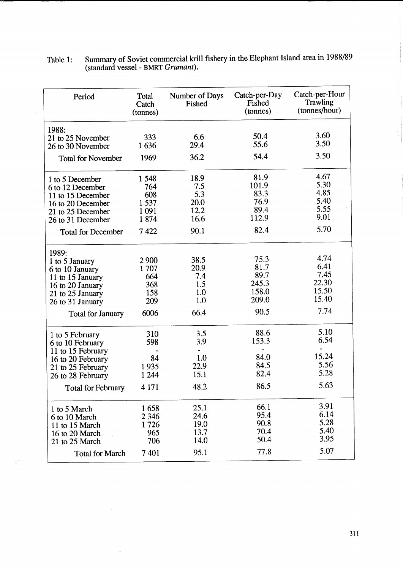| Table 1: | Summary of Soviet commercial krill fishery in the Elephant Island area in 1988/89 |
|----------|-----------------------------------------------------------------------------------|
|          | (standard vessel - BMRT Grumant).                                                 |

| Period                                 | Total<br>Catch<br>(tonnes) | Number of Days<br>Fished | Catch-per-Day<br>Fished<br>(tonnes) | Catch-per-Hour<br>Trawling<br>(tonnes/hour) |
|----------------------------------------|----------------------------|--------------------------|-------------------------------------|---------------------------------------------|
| 1988:                                  |                            |                          |                                     |                                             |
| 21 to 25 November<br>26 to 30 November | 333<br>1636                | 6.6<br>29.4              | 50.4<br>55.6                        | 3.60<br>3.50                                |
|                                        |                            | 36.2                     | 54.4                                | 3.50                                        |
| <b>Total for November</b>              | 1969                       |                          |                                     |                                             |
| 1 to 5 December                        | 1548                       | 18.9                     | 81.9                                | 4.67                                        |
| 6 to 12 December                       | 764                        | 7.5                      | 101.9                               | 5.30                                        |
| 11 to 15 December                      | 608                        | 5.3                      | 83.3                                | 4.85                                        |
| 16 to 20 December                      | 1537                       | 20.0                     | 76.9                                | 5.40                                        |
| 21 to 25 December                      | 1091                       | 12.2                     | 89.4                                | 5.55                                        |
| 26 to 31 December                      | 1874                       | 16.6                     | 112.9                               | 9.01                                        |
| <b>Total for December</b>              | 7422                       | 90.1                     | 82.4                                | 5.70                                        |
| 1989:                                  |                            |                          |                                     |                                             |
| 1 to 5 January                         | 2900                       | 38.5                     | 75.3                                | 4.74                                        |
| 6 to 10 January                        | 1707                       | 20.9                     | 81.7                                | 6.41                                        |
| 11 to 15 January                       | 664                        | 7.4                      | 89.7                                | 7.45                                        |
| 16 to 20 January                       | 368                        | 1.5                      | 245.3                               | 22.30                                       |
| 21 to 25 January                       | 158                        | 1.0                      | 158.0                               | 15.50                                       |
| 26 to 31 January                       | 209                        | 1.0                      | 209.0                               | 15.40                                       |
| <b>Total for January</b>               | 6006                       | 66.4                     | 90.5                                | 7.74                                        |
| 1 to 5 February                        | 310                        | 3.5                      | 88.6                                | 5.10                                        |
| 6 to 10 February                       | 598                        | 3.9                      | 153.3                               | 6.54                                        |
| 11 to 15 February                      |                            |                          |                                     |                                             |
| 16 to 20 February                      | 84                         | 1.0                      | 84.0                                | 15.24                                       |
| 21 to 25 February                      | 1935                       | 22.9                     | 84.5                                | 5.56                                        |
| 26 to 28 February                      | 1 2 4 4                    | 15.1                     | 82.4                                | 5.28                                        |
| <b>Total for February</b>              | 4 1 7 1                    | 48.2                     | 86.5                                | 5.63                                        |
| 1 to 5 March                           | 1658                       | 25.1                     | 66.1                                | 3.91                                        |
| 6 to 10 March                          | 2 3 4 6                    | 24.6                     | 95.4                                | 6.14                                        |
| 11 to 15 March                         | 1726                       | 19.0                     | 90.8                                | 5.28                                        |
|                                        | 965                        | 13.7                     | 70.4                                | 5.40                                        |
| 16 to 20 March<br>21 to 25 March       | 706                        | 14.0                     | 50.4                                | 3.95                                        |
| <b>Total for March</b>                 | 7401                       | 95.1                     | 77.8                                | 5.07                                        |
|                                        |                            |                          |                                     |                                             |

 $\ddot{\phantom{a}}$ 

Ì,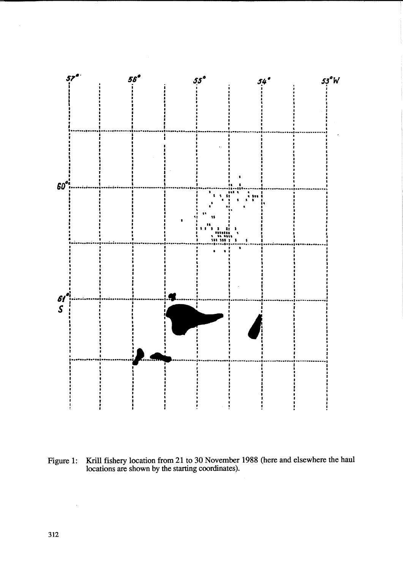

Krill fishery location from 21 to 30 November 1988 (here and elsewhere the haul locations are shown by the starting coordinates). Figure 1: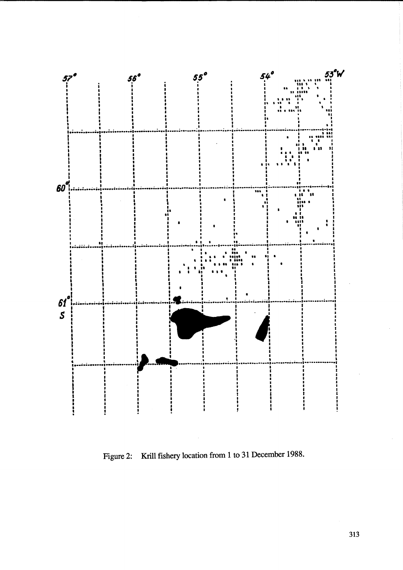

Figure 2: Krill fishery location from 1 to 31 December 1988.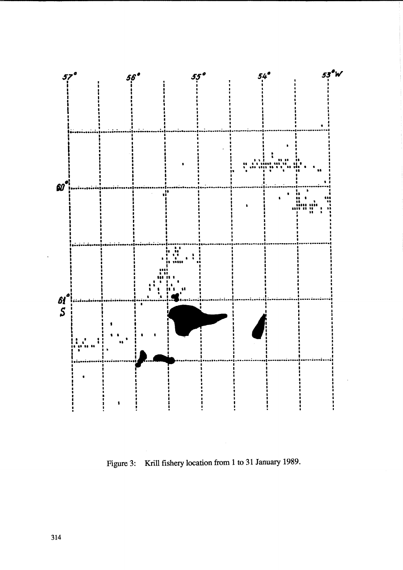

Figure 3: Krill fishery location from 1 to 31 January 1989.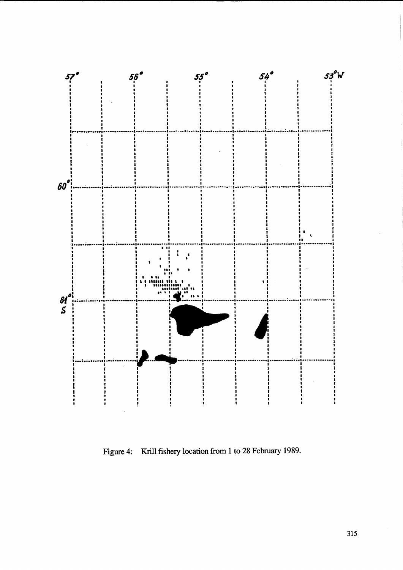

Figure 4: Krill fishery location from 1 to 28 February 1989.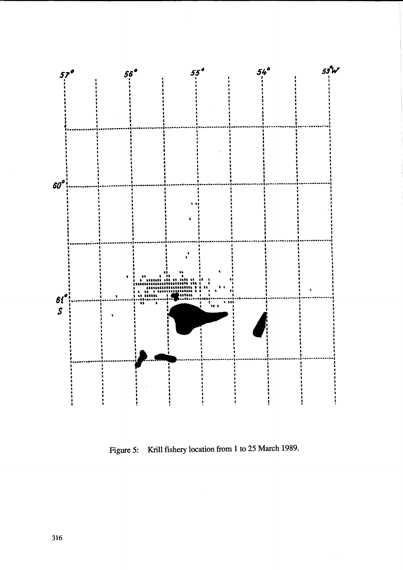

Figure 5: Krill fishery location from 1 to 25 March 1989.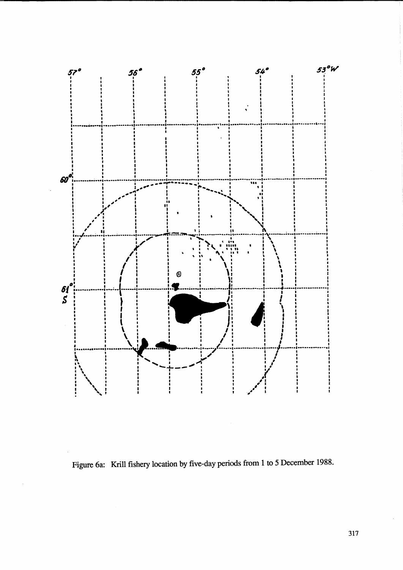

Figure 6a: Krill fishery location by five-day periods from 1 to 5 December 1988.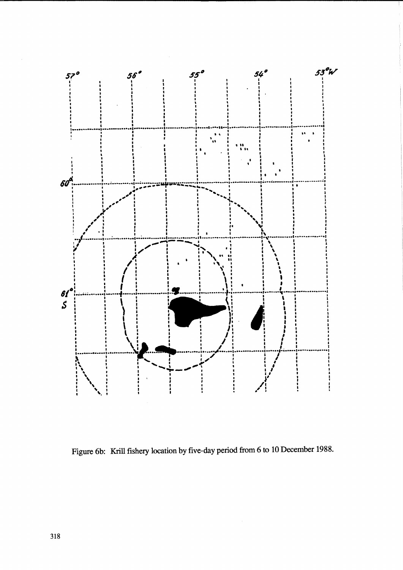

Figure 6b: Krill fishery location by five-day period from 6 to 10 December 1988.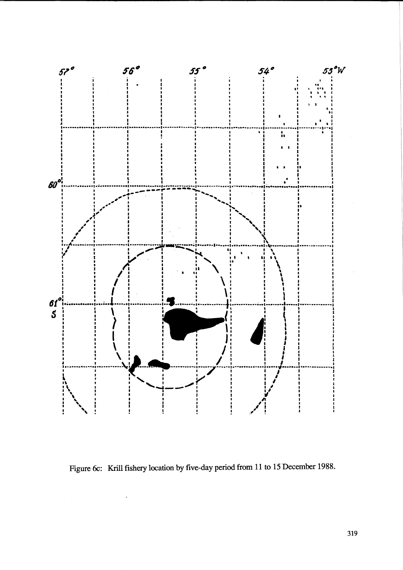

Figure 6c: Krill fishery location by five-day period from 11 to 15 December 1988.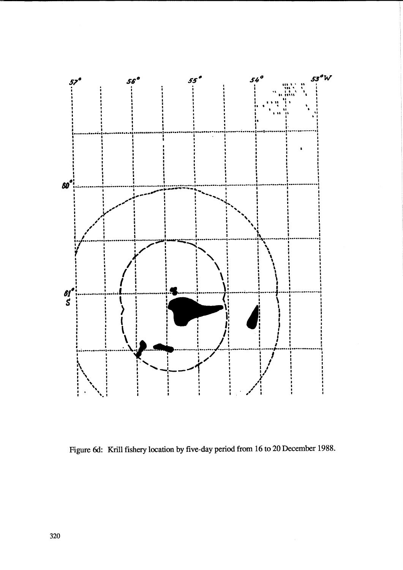

Figure 6d: Krill fishery location by five-day period from 16 to 20 December 1988.

 $\hat{\mathcal{A}}$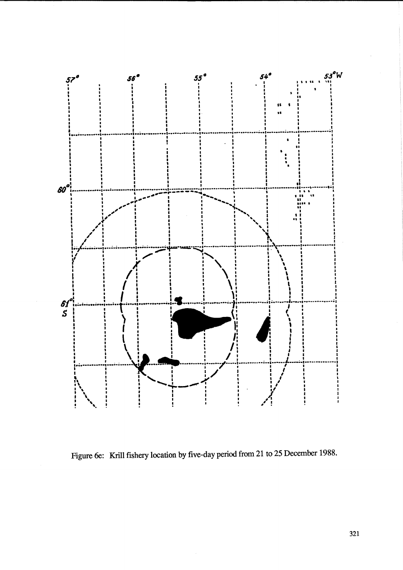

Figure 6e: Krill fishery location by five-day period from 21 to 25 December 1988.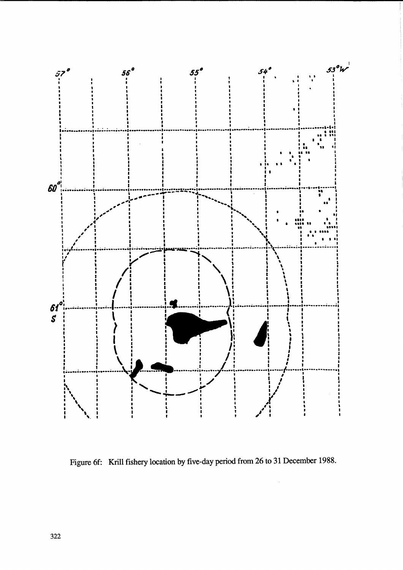

Figure 6f: Krill fishery location by five-day period from 26 to 31 December 1988.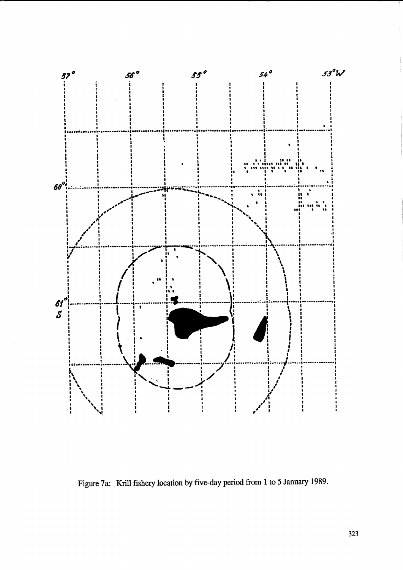

Figure 7a: Krill fishery location by five-day period from 1 to 5 January 1989.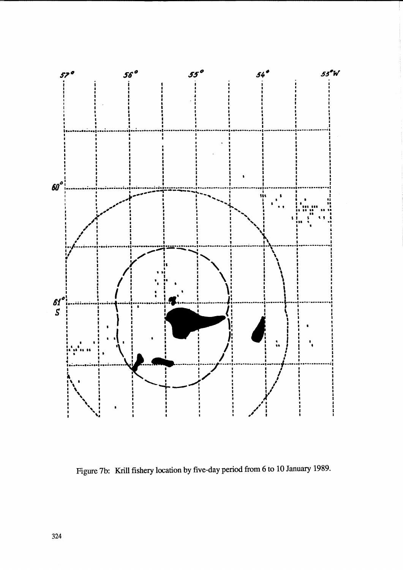

Figure 7b: Krill fishery location by five-day period from 6 to 10 January 1989.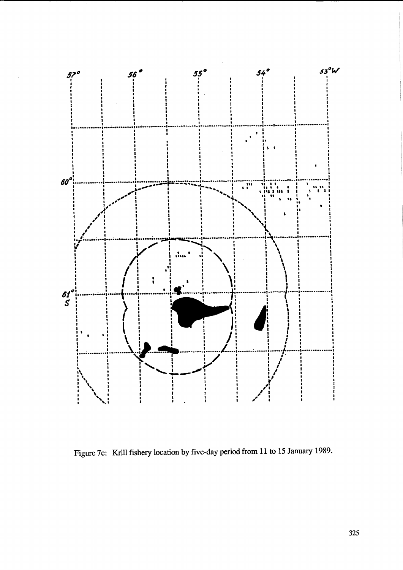

Figure 7c: Krill fishery location by five-day period from 11 to 15 January 1989.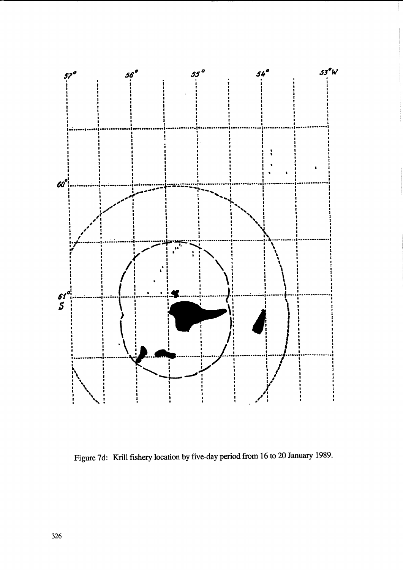

Figure 7d: Krill fishery location by five-day period from 16 to 20 January 1989.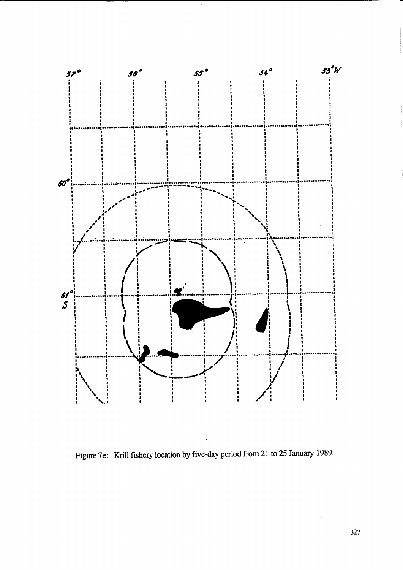

Figure 7e: Krill fishery location by five-day period from 21 to 25 January 1989.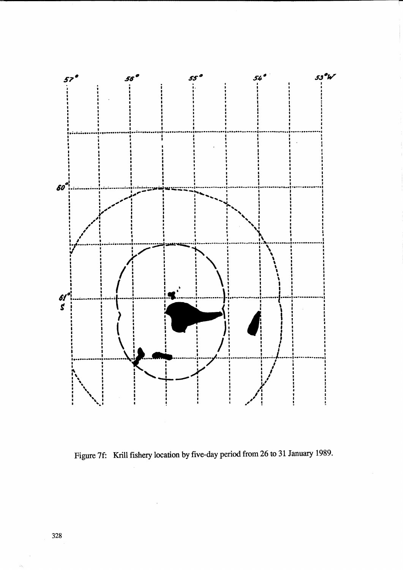

Figure 7f: Krill fishery location by five-day period from 26 to 31 January 1989.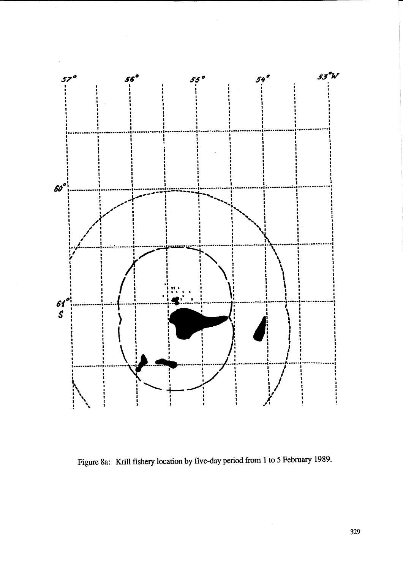

Figure 8a: Krill fishery location by five-day period from 1 to 5 February 1989.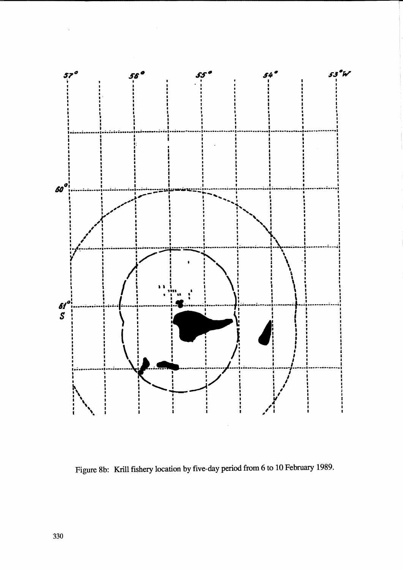

Figure 8b: Krill fishery location by five-day period from 6 to 10 February 1989.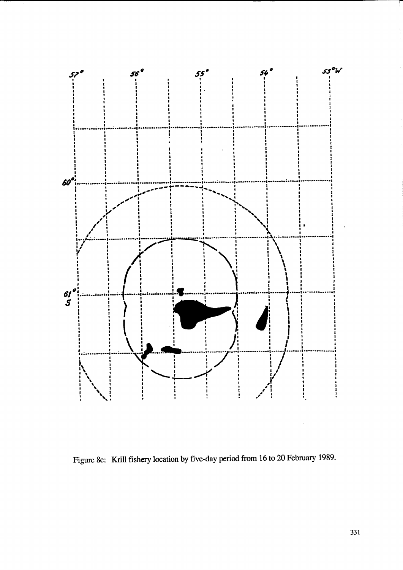

Figure 8c: Krill fishery location by five-day period from 16 to 20 February 1989.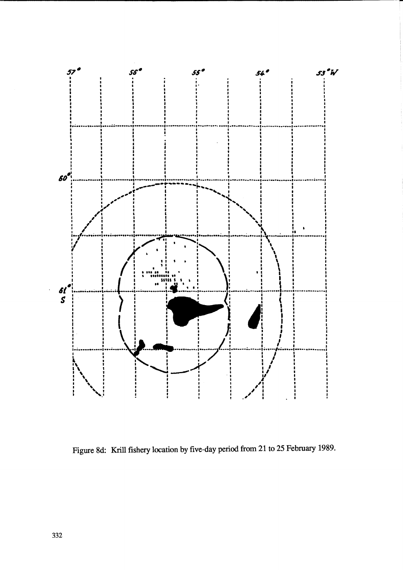

Figure 8d: Krill fishery location by five-day period from 21 to 25 February 1989.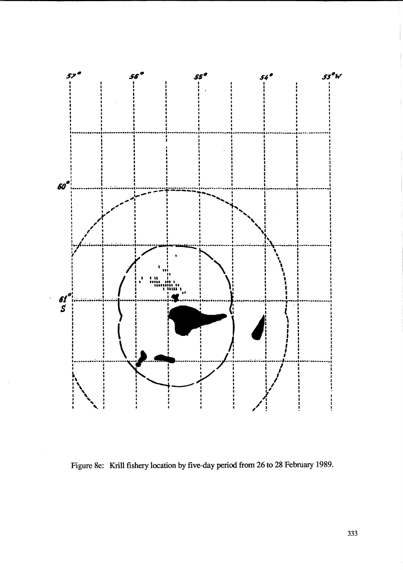

Figure 8e: Krill fishery location by five-day period from 26 to 28 February 1989.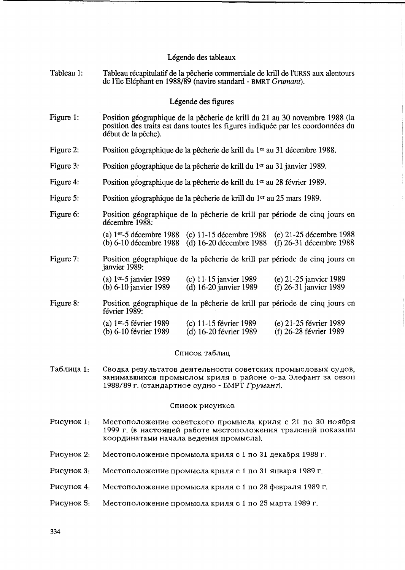## Légende des tableaux

Tableau 1: Tableau recapitulatif de la pecherie commerciale de krill de l'URSS aux alentours de l'ile Elephant en 1988/89 (navire standard - BMRT *Grumant).* 

## Legende des figures

- Figure 1: Position géographique de la pêcherie de krill du 21 au 30 novembre 1988 (la position des traits est dans toutes les figures indiquee par les coordonnees du début de la pêche).
- Figure 2: Position géographique de la pêcherie de krill du 1<sup>er</sup> au 31 décembre 1988.
- Figure 3: Position géographique de la pêcherie de krill du 1<sup>er</sup> au 31 janvier 1989.
- Figure 4: Position géographique de la pêcherie de krill du 1<sup>er</sup> au 28 février 1989.
- Figure 5: Position géographique de la pêcherie de krill du 1<sup>er</sup> au 25 mars 1989.
- Figure 6: Position géographique de la pêcherie de krill par période de cinq jours en décembre 1988:
	- (a)  $1^{er}-5$  décembre 1988 (c) 11-15 décembre 1988 (e) 21-25 décembre 1988<br>(b) 6-10 décembre 1988 (d) 16-20 décembre 1988 (f) 26-31 décembre 1988  $\ddot{d}$ ) 16-20 décembre 1988
- Figure 7: Position géographique de la pêcherie de krill par période de cinq jours en janvier 1989:

| (a) $1er-5$ janvier 1989 | (c) $11-15$ janvier 1989 | (e) 21-25 janvier 1989   |
|--------------------------|--------------------------|--------------------------|
| (b) $6-10$ janvier 1989  | (d) $16-20$ janvier 1989 | (f) $26-31$ janvier 1989 |

Figure 8: Position géographique de la pêcherie de krill par période de cinq jours en février 1989:

| (a) $1er-5$ février 1989 | (c) $11-15$ février 1989 | (e) $21-25$ février 1989 |
|--------------------------|--------------------------|--------------------------|
| (b) 6-10 février 1989    | (d) 16-20 février 1989   | $(f)$ 26-28 février 1989 |

## Список таблиц

Таблица 1. Сводка результатов деятельности советских промысловых судов, занимавшихся промыслом криля в районе о-ва Элефант за сезон 1988/89 г. (стандартное судно - БМРТ Грумант).

#### Список рисунков

- P<sub>HCVHOK</sub> 1: Местоположение советского промысла криля с 21 по 30 ноября 1999 г. (в настоящей работе местоположения тралений показаны Координатами начала ведения промысла).
- PHCYHOK 2: Местоположение промысла криля с 1 по 31 декабря 1988 г.
- P<sub>HC</sub>y<sub>HOK</sub> 3: Местоположение промысла криля с 1 по 31 января 1989 г.
- P<sub>HCYHOK</sub> 4: Местоположение промысла криля с 1 по 28 февраля 1989 г.
- P<sub>ИСУ</sub>нок 5: Местоположение промысла криля с 1 по 25 марта 1989 г.